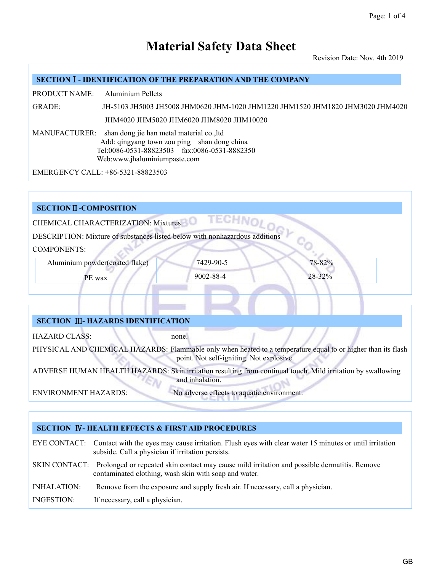Revision Date: Nov. 4th 2019

#### **SECTION**Ⅰ**- IDENTIFICATION OF THE PREPARATION AND THE COMPANY**

PRODUCT NAME: Aluminium Pellets

GRADE: JH-5103 JH5003 JH5008 JHM0620 JHM-1020 JHM1220 JHM1520 JHM1820 JHM3020 JHM4020 JHM4020 JHM5020 JHM6020 JHM8020 JHM10020

MANUFACTURER: shan dong jie han metal material co.,ltd Add: qingyang town zou ping shan dong china Tel:0086-0531-88823503 fax:0086-0531-8882350 Web:www.jhaluminiumpaste.com

EMERGENCY CALL: **+**86-5321-88823503

#### **SECTION**Ⅱ**-COMPOSITION**

CHEMICAL CHARACTERIZATION: Mixtures

DESCRIPTION: Mixture of substances listed below with nonhazardous additions

COMPONENTS:

Aluminium powder(coated flake) 7429-90-5 78-82%

PE wax 30002-88-4 28-32%

# **SECTION** Ⅲ**- HAZARDS IDENTIFICATION**

HAZARD CLASS: none.

PHYSICAL AND CHEMICAL HAZARDS: Flammable only when heated to a temperature equal to or higher than its flash point. Not self-igniting. Not explosive.

ADVERSE HUMAN HEALTH HAZARDS: Skin irritation resulting from continual touch. Mild irritation by swallowing and inhalation.

ENVIRONMENT HAZARDS: No adverse effects to aquatic environment.

# **SECTION** Ⅳ**- HEALTH EFFECTS & FIRSTAID PROCEDURES**

EYE CONTACT: Contact with the eyes may cause irritation. Flush eyes with clear water 15 minutes oruntil irritation subside. Call a physician if irritation persists.

- SKIN CONTACT: Prolonged or repeated skin contact may cause mild irritation and possible dermatitis. Remove contaminated clothing, wash skin with soap and water.
- INHALATION: Remove from the exposure and supply fresh air. If necessary, call a physician.
- INGESTION: If necessary, call a physician.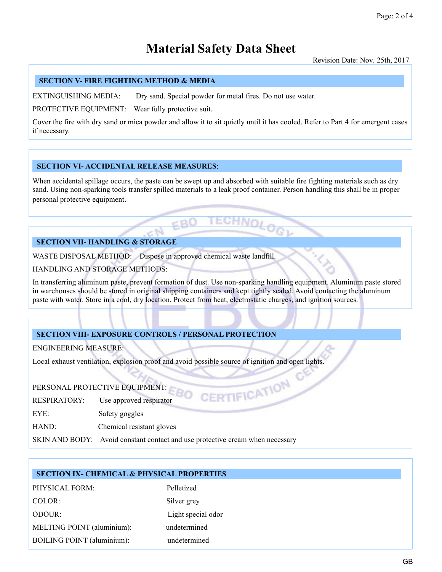Revision Date: Nov. 25th, 2017

## **SECTION V- FIRE FIGHTING METHOD & MEDIA**

EXTINGUISHING MEDIA: Dry sand. Special powder for metal fires. Do not use water.

PROTECTIVE EQUIPMENT: Wear fully protective suit.

Cover the fire with dry sand ormica powder and allow it to sit quietly until it has cooled. Refer to Part 4 for emergent cases if necessary.

#### **SECTION VI- ACCIDENTAL RELEASE MEASURES**:

When accidental spillage occurs, the paste can be swept up and absorbed with suitable fire fighting materials such as dry sand. Using non-sparking tools transfer spilled materials to a leak proof container. Person handling this shall be in proper personal protective equipment.

# **SECTION VII- HANDLING** & **STORAGE**

WASTE DISPOSAL METHOD: Dispose in approved chemical waste landfill.

HANDLING AND STORAGE METHODS:

In transferring aluminum paste, prevent formation of dust. Use non-sparking handling equipment. Aluminum paste stored in warehouses should be stored in original shipping containers and kept tightly sealed. Avoid contacting the aluminum paste with water. Store in a cool, dry location. Protect from heat, electrostatic charges, and ignition sources.

# **SECTION VIII- EXPOSURE CONTROLS / PERSONAL PROTECTION**

ENGINEERING MEASURE:

Local exhaust ventilation, explosion proof and avoid possible source of ignition and open lights.

 $EBO$ 

- PERSONAL PROTECTIVE EQUIPMENT:<br>RESPIRATORY: Use approved respirator RESPIRATORY: Use approved respirator
- EYE: Safety goggles

HAND: Chemical resistant gloves

SKIN AND BODY: Avoid constant contact and use protective cream when necessary

### **SECTION IX- CHEMICAL & PHYSICAL PROPERTIES**

PHYSICAL FORM: Pelletized COLOR: Silver grey ODOUR: Light special odor MELTING POINT (aluminium): undetermined BOILING POINT (aluminium): undetermined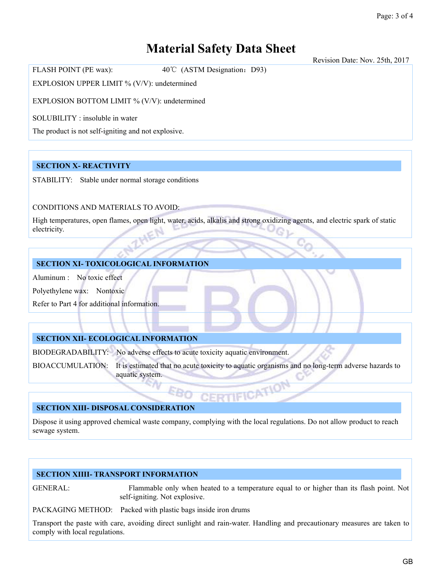Revision Date: Nov. 25th, 2017

EXPLOSION UPPER LIMIT % (V/V): undetermined

EXPLOSION BOTTOM LIMIT % (V/V): undetermined

FLASH POINT (PE wax): 40℃ (ASTM Designation: D93)

SOLUBILITY : insoluble in water

The product is not self-igniting and not explosive.

# **SECTION X- REACTIVITY**

STABILITY: Stable under normal storage conditions

CONDITIONS AND MATERIALS TO AVOID:

High temperatures, open flames, open light, water, acids, alkalis and strong oxidizing agents, and electric spark of static electricity.

# **SECTION XI- TOXICOLOGICAL INFORMATION**

Aluminum : No toxic effect

Polyethylene wax: Nontoxic

Refer to Part 4 for additional information.

# **SECTION XII- ECOLOGICAL INFORMATION**

BIODEGRADABILITY: No adverse effects to acute toxicity aquatic environment.

EB1

BIOACCUMULATION: It is estimated that no acute toxicity to aquatic organisms and no long-term adverse hazards to aquatic system.

# **SECTION XIII- DISPOSAL CONSIDERATION**

Dispose it using approved chemical waste company, complying with the local regulations. Do not allow product to reach sewage system.

# **SECTION XIIII- TRANSPORT INFORMATION**

GENERAL: Flammable only when heated to a temperature equal to or higher than its flash point. Not self-igniting. Not explosive.

PACKAGING METHOD: Packed with plastic bags inside iron drums

Transport the paste with care, avoiding direct sunlight and rain-water. Handling and precautionary measures are taken to comply with local regulations.